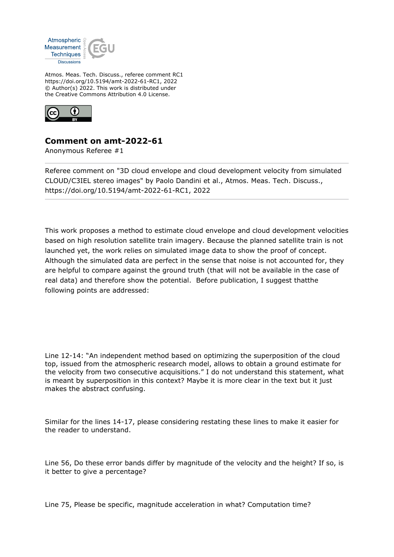

Atmos. Meas. Tech. Discuss., referee comment RC1 https://doi.org/10.5194/amt-2022-61-RC1, 2022 © Author(s) 2022. This work is distributed under the Creative Commons Attribution 4.0 License.



## **Comment on amt-2022-61**

Anonymous Referee #1

Referee comment on "3D cloud envelope and cloud development velocity from simulated CLOUD/C3IEL stereo images" by Paolo Dandini et al., Atmos. Meas. Tech. Discuss., https://doi.org/10.5194/amt-2022-61-RC1, 2022

This work proposes a method to estimate cloud envelope and cloud development velocities based on high resolution satellite train imagery. Because the planned satellite train is not launched yet, the work relies on simulated image data to show the proof of concept. Although the simulated data are perfect in the sense that noise is not accounted for, they are helpful to compare against the ground truth (that will not be available in the case of real data) and therefore show the potential. Before publication, I suggest thatthe following points are addressed:

Line 12-14: "An independent method based on optimizing the superposition of the cloud top, issued from the atmospheric research model, allows to obtain a ground estimate for the velocity from two consecutive acquisitions." I do not understand this statement, what is meant by superposition in this context? Maybe it is more clear in the text but it just makes the abstract confusing.

Similar for the lines 14-17, please considering restating these lines to make it easier for the reader to understand.

Line 56, Do these error bands differ by magnitude of the velocity and the height? If so, is it better to give a percentage?

Line 75, Please be specific, magnitude acceleration in what? Computation time?